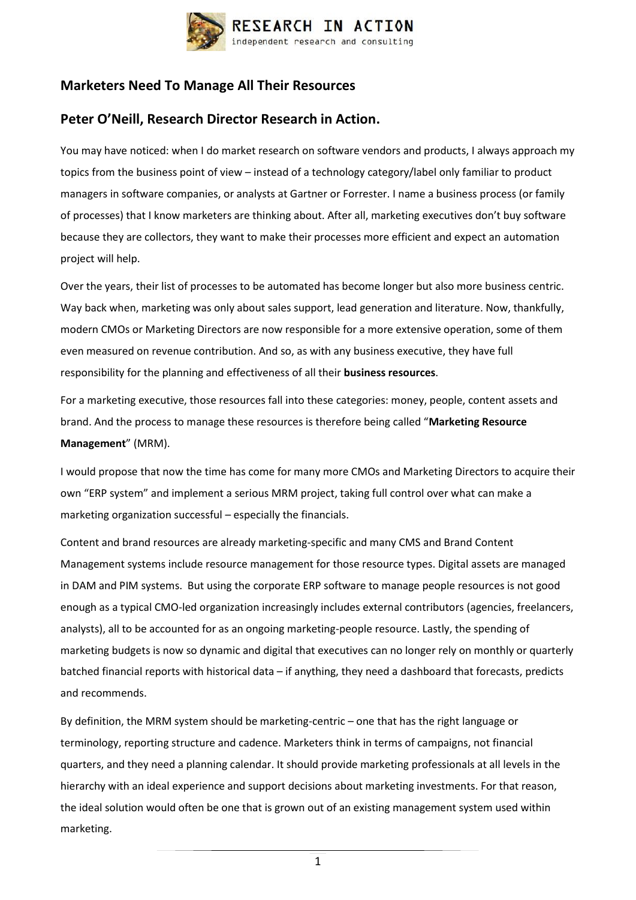

## **Marketers Need To Manage All Their Resources**

## **Peter O'Neill, Research Director Research in Action.**

You may have noticed: when I do market research on software vendors and products, I always approach my topics from the business point of view – instead of a technology category/label only familiar to product managers in software companies, or analysts at Gartner or Forrester. I name a business process (or family of processes) that I know marketers are thinking about. After all, marketing executives don't buy software because they are collectors, they want to make their processes more efficient and expect an automation project will help.

Over the years, their list of processes to be automated has become longer but also more business centric. Way back when, marketing was only about sales support, lead generation and literature. Now, thankfully, modern CMOs or Marketing Directors are now responsible for a more extensive operation, some of them even measured on revenue contribution. And so, as with any business executive, they have full responsibility for the planning and effectiveness of all their **business resources**.

For a marketing executive, those resources fall into these categories: money, people, content assets and brand. And the process to manage these resources is therefore being called "**Marketing Resource Management**" (MRM).

I would propose that now the time has come for many more CMOs and Marketing Directors to acquire their own "ERP system" and implement a serious MRM project, taking full control over what can make a marketing organization successful – especially the financials.

Content and brand resources are already marketing-specific and many CMS and Brand Content Management systems include resource management for those resource types. Digital assets are managed in DAM and PIM systems. But using the corporate ERP software to manage people resources is not good enough as a typical CMO-led organization increasingly includes external contributors (agencies, freelancers, analysts), all to be accounted for as an ongoing marketing-people resource. Lastly, the spending of marketing budgets is now so dynamic and digital that executives can no longer rely on monthly or quarterly batched financial reports with historical data – if anything, they need a dashboard that forecasts, predicts and recommends.

By definition, the MRM system should be marketing-centric – one that has the right language or terminology, reporting structure and cadence. Marketers think in terms of campaigns, not financial quarters, and they need a planning calendar. It should provide marketing professionals at all levels in the hierarchy with an ideal experience and support decisions about marketing investments. For that reason, the ideal solution would often be one that is grown out of an existing management system used within marketing.